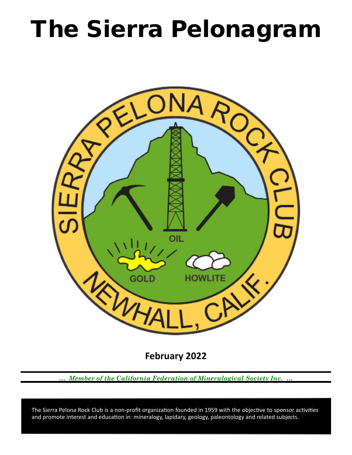# The Sierra Pelonagram



**February 2022**

*… Member of the California Federation of Mineralogical Society Inc. …*

 and promote interest and education in: mineralogy, lapidary, geology, paleontology and related subjects. The Sierra Pelona Rock Club is a non-profit organization founded in 1959 with the objective to sponsor activities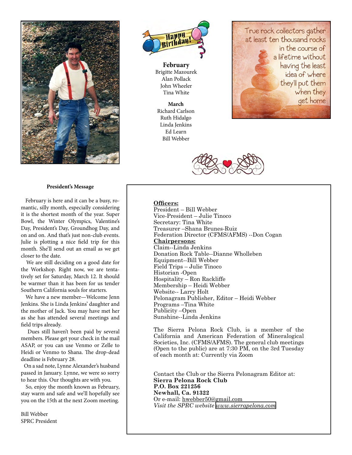

## **President's Message**

 February is here and it can be a busy, romantic, silly month, especially considering it is the shortest month of the year. Super Bowl, the Winter Olympics, Valentine's Day, President's Day, Groundhog Day, and on and on. And that's just non-club events. Julie is plotting a nice field trip for this month. She'll send out an email as we get closer to the date.

 We are still deciding on a good date for the Workshop. Right now, we are tentatively set for Saturday, March 12. It should be warmer than it has been for us tender Southern California souls for starters.

 We have a new member—Welcome Jenn Jenkins. She is Linda Jenkins' daughter and the mother of Jack. You may have met her as she has attended several meetings and field trips already.

 Dues still haven't been paid by several members. Please get your check in the mail ASAP, or you can use Venmo or Zelle to Heidi or Venmo to Shana. The drop-dead deadline is February 28.

 On a sad note, Lynne Alexander's husband passed in January. Lynne, we were so sorry to hear this. Our thoughts are with you.

 So, enjoy the month known as February, stay warm and safe and we'll hopefully see you on the 15th at the next Zoom meeting.

Bill Webber SPRC President



**February** Brigitte Mazourek Alan Pollack John Wheeler Tina White

**March** Richard Carlson Ruth Hidalgo Linda Jenkins Ed Learn Bill Webber





# **Officers:**

President – Bill Webber Vice‑President – Julie Tinoco Secretary: Tina White Treasurer –Shana Brunes-Ruiz Federation Director (CFMS/AFMS) --Don Cogan **Chairpersons:** Claim--Linda Jenkins Donation Rock Table--Dianne Wholleben Equipment--Bill Webber Field Trips – Julie Tinoco Historian ‑Open Hospitality – Ron Rackliffe Membership – Heidi Webber Website-- Larry Holt Pelonagram Publisher, Editor – Heidi Webber Programs –Tina White Publicity –Open Sunshine--Linda Jenkins

The Sierra Pelona Rock Club, is a member of the California and American Federation of Mineralogical Societies, Inc. (CFMS/AFMS). The general club meetings (Open to the public) are at 7:30 PM, on the 3rd Tuesday of each month at: Currently via Zoom

Contact the Club or the Sierra Pelonagram Editor at: **Sierra Pelona Rock Club P.O. Box 221256 Newhall, Ca. 91322** Or e‑mail: hwebber50@gmail.com *Visit the SPRC website [www.sierrapelona.com](http://www.sierrapelona.com/)*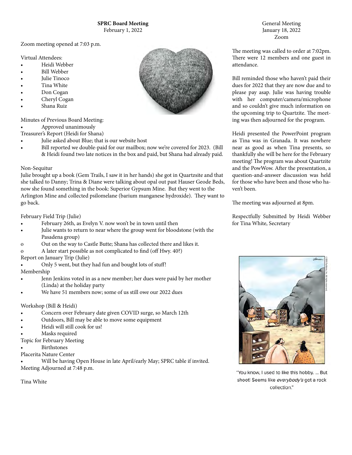Zoom meeting opened at 7:03 p.m.

Virtual Attendees:

- Heidi Webber
- Bill Webber
- Julie Tinoco
- Tina White
- Don Cogan
- Cheryl Cogan
- Shana Ruiz

Minutes of Previous Board Meeting:

• Approved unanimously

Treasurer's Report (Heidi for Shana)

- Julie asked about Blue; that is our website host
	- Bill reported we double-paid for our mailbox; now we're covered for 2023. (Bill & Heidi found two late notices in the box and paid, but Shana had already paid.

#### Non-Sequitur

Julie brought up a book (Gem Trails, I saw it in her hands) she got in Quartzsite and that she talked to Danny; Trina & Diane were talking about opal out past Hauser Geode Beds, now she found something in the book: Superior Gypsum Mine. But they went to the Arlington Mine and collected psilomelane (barium manganese hydroxide). They want to go back.

## February Field Trip (Julie)

- February 26th, as Evelyn V. now won't be in town until then
- Julie wants to return to near where the group went for bloodstone (with the Pasadena group)
- o Out on the way to Castle Butte; Shana has collected there and likes it.
- o A later start possible as not complicated to find (off Hwy. 40?)

Report on January Trip (Julie)

• Only 5 went, but they had fun and bought lots of stuff!

Membership

- Jenn Jenkins voted in as a new member; her dues were paid by her mother (Linda) at the holiday party
- We have 51 members now; some of us still owe our 2022 dues

## Workshop (Bill & Heidi)

- Concern over February date given COVID surge, so March 12th
- Outdoors, Bill may be able to move some equipment
- Heidi will still cook for us!
- Masks required
- Topic for February Meeting
- **Birthstones**
- Placerita Nature Center

• Will be having Open House in late April/early May; SPRC table if invited. Meeting Adjourned at 7:48 p.m.

Tina White



General Meeting January 18, 2022 Zoom

The meeting was called to order at 7:02pm. There were 12 members and one guest in attendance.

Bill reminded those who haven't paid their dues for 2022 that they are now due and to please pay asap. Julie was having trouble with her computer/camera/microphone and so couldn't give much information on the upcoming trip to Quartzite. The meeting was then adjourned for the program.

Heidi presented the PowerPoint program as Tina was in Granada. It was nowhere near as good as when Tina presents, so thankfully she will be here for the February meeting! The program was about Quartzite and the PowWow. After the presentation, a question-and-answer discussion was held for those who have been and those who haven't been.

The meeting was adjourned at 8pm.

Respectfully Submitted by Heidi Webber for Tina White, Secretary



"You know, I used to like this hobby. ... But shoot! Seems like everybody's got a rock collection."